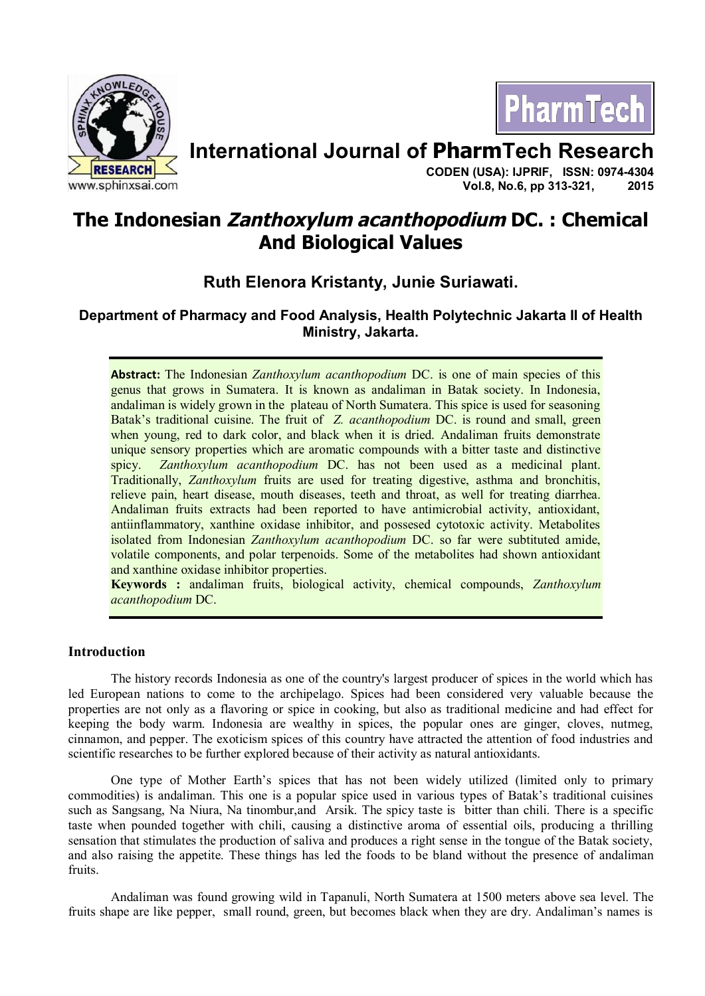



# **International Journal of PharmTech Research**

**CODEN (USA): IJPRIF, ISSN: 0974-4304 Vol.8, No.6, pp 313-321, 2015**

# **The Indonesian Zanthoxylum acanthopodium DC. : Chemical And Biological Values**

# **Ruth Elenora Kristanty, Junie Suriawati.**

# **Department of Pharmacy and Food Analysis, Health Polytechnic Jakarta II of Health Ministry, Jakarta.**

**Abstract:** The Indonesian *Zanthoxylum acanthopodium* DC. is one of main species of this genus that grows in Sumatera. It is known as andaliman in Batak society. In Indonesia, andaliman is widely grown in the plateau of North Sumatera. This spice is used for seasoning Batak's traditional cuisine. The fruit of *Z. acanthopodium* DC. is round and small, green when young, red to dark color, and black when it is dried. Andaliman fruits demonstrate unique sensory properties which are aromatic compounds with a bitter taste and distinctive spicy. *Zanthoxylum acanthopodium* DC. has not been used as a medicinal plant. Traditionally, *Zanthoxylum* fruits are used for treating digestive, asthma and bronchitis, relieve pain, heart disease, mouth diseases, teeth and throat, as well for treating diarrhea. Andaliman fruits extracts had been reported to have antimicrobial activity, antioxidant, antiinflammatory, xanthine oxidase inhibitor, and possesed cytotoxic activity. Metabolites isolated from Indonesian *Zanthoxylum acanthopodium* DC. so far were subtituted amide, volatile components, and polar terpenoids. Some of the metabolites had shown antioxidant and xanthine oxidase inhibitor properties.

**Keywords :** andaliman fruits, biological activity, chemical compounds, *Zanthoxylum acanthopodium* DC.

# **Introduction**

The history records Indonesia as one of the country's largest producer of spices in the world which has led European nations to come to the archipelago. Spices had been considered very valuable because the properties are not only as a flavoring or spice in cooking, but also as traditional medicine and had effect for keeping the body warm. Indonesia are wealthy in spices, the popular ones are ginger, cloves, nutmeg, cinnamon, and pepper. The exoticism spices of this country have attracted the attention of food industries and scientific researches to be further explored because of their activity as natural antioxidants.

One type of Mother Earth's spices that has not been widely utilized (limited only to primary commodities) is andaliman. This one is a popular spice used in various types of Batak's traditional cuisines such as Sangsang, Na Niura, Na tinombur,and Arsik. The spicy taste is bitter than chili. There is a specific taste when pounded together with chili, causing a distinctive aroma of essential oils, producing a thrilling sensation that stimulates the production of saliva and produces a right sense in the tongue of the Batak society, and also raising the appetite. These things has led the foods to be bland without the presence of andaliman fruits.

Andaliman was found growing wild in Tapanuli, North Sumatera at 1500 meters above sea level. The fruits shape are like pepper, small round, green, but becomes black when they are dry. Andaliman's names is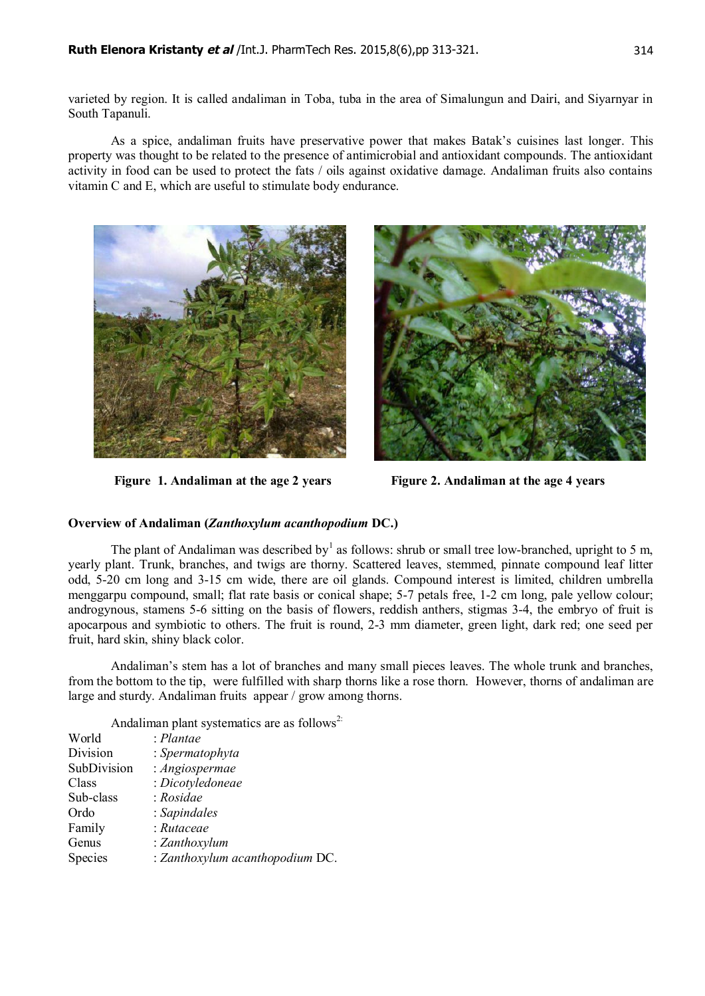varieted by region. It is called andaliman in Toba, tuba in the area of Simalungun and Dairi, and Siyarnyar in South Tapanuli.

As a spice, andaliman fruits have preservative power that makes Batak's cuisines last longer. This property was thought to be related to the presence of antimicrobial and antioxidant compounds. The antioxidant activity in food can be used to protect the fats / oils against oxidative damage. Andaliman fruits also contains vitamin C and E, which are useful to stimulate body endurance.



**Figure 1. Andaliman at the age 2 years** Figure 2. Andaliman at the age 4 years



## **Overview of Andaliman (***Zanthoxylum acanthopodium* **DC.)**

The plant of Andaliman was described by<sup>1</sup> as follows: shrub or small tree low-branched, upright to 5 m, yearly plant. Trunk, branches, and twigs are thorny. Scattered leaves, stemmed, pinnate compound leaf litter odd, 5-20 cm long and 3-15 cm wide, there are oil glands. Compound interest is limited, children umbrella menggarpu compound, small; flat rate basis or conical shape; 5-7 petals free, 1-2 cm long, pale yellow colour; androgynous, stamens 5-6 sitting on the basis of flowers, reddish anthers, stigmas 3-4, the embryo of fruit is apocarpous and symbiotic to others. The fruit is round, 2-3 mm diameter, green light, dark red; one seed per fruit, hard skin, shiny black color.

Andaliman's stem has a lot of branches and many small pieces leaves. The whole trunk and branches, from the bottom to the tip, were fulfilled with sharp thorns like a rose thorn. However, thorns of andaliman are large and sturdy. Andaliman fruits appear / grow among thorns.

Andaliman plant systematics are as follows<sup>2:</sup>

| World       | $:$ Plantae                     |
|-------------|---------------------------------|
| Division    | : Spermatophyta                 |
| SubDivision | : Angiospermae                  |
| Class       | : Dicotyledoneae                |
| Sub-class   | : Rosidae                       |
| Ordo        | : Sapindales                    |
| Family      | : Rutaceae                      |
| Genus       | : Zanthoxylum                   |
| Species     | : Zanthoxylum acanthopodium DC. |
|             |                                 |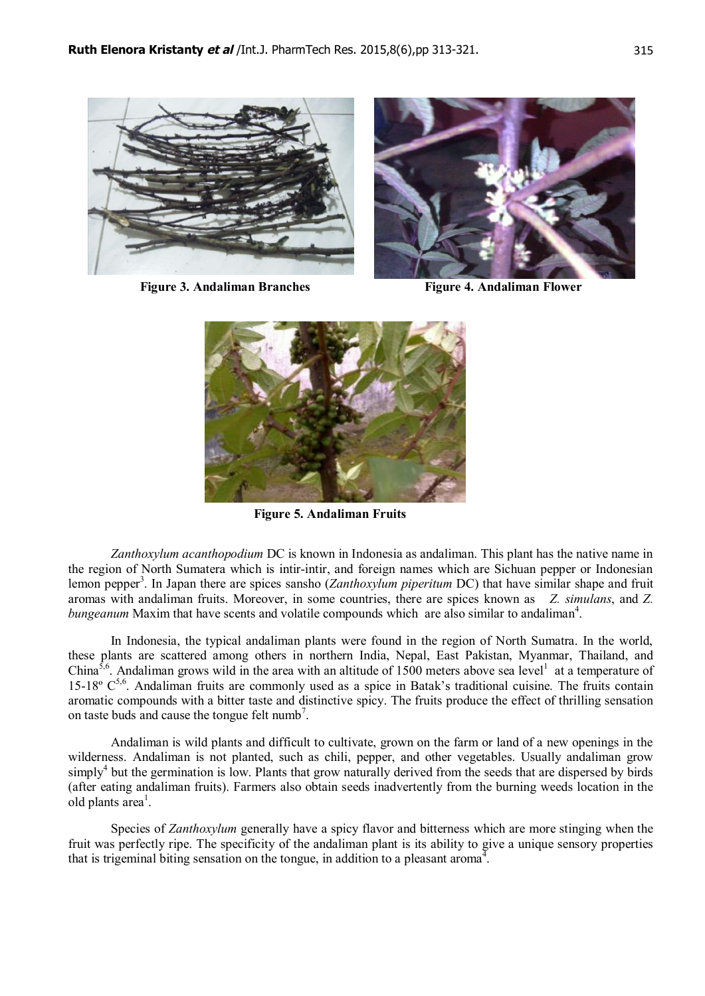

**Figure 3. Andaliman Branches** Figure 4. Andaliman Flower



 **Figure 5. Andaliman Fruits**

*Zanthoxylum acanthopodium* DC is known in Indonesia as andaliman. This plant has the native name in the region of North Sumatera which is intir-intir, and foreign names which are Sichuan pepper or Indonesian lemon pepper<sup>3</sup>. In Japan there are spices sansho (*Zanthoxylum piperitum* DC) that have similar shape and fruit aromas with andaliman fruits. Moreover, in some countries, there are spices known as *Z. simulans*, and *Z.* bungeanum Maxim that have scents and volatile compounds which are also similar to andaliman<sup>4</sup>.

In Indonesia, the typical andaliman plants were found in the region of North Sumatra. In the world, these plants are scattered among others in northern India, Nepal, East Pakistan, Myanmar, Thailand, and China<sup>5,6</sup>. Andaliman grows wild in the area with an altitude of 1500 meters above sea level<sup>1</sup> at a temperature of 15-18 $^{\circ}$  C<sup>5,6</sup>. Andaliman fruits are commonly used as a spice in Batak's traditional cuisine. The fruits contain aromatic compounds with a bitter taste and distinctive spicy. The fruits produce the effect of thrilling sensation on taste buds and cause the tongue felt numb<sup>7</sup>.

Andaliman is wild plants and difficult to cultivate, grown on the farm or land of a new openings in the wilderness. Andaliman is not planted, such as chili, pepper, and other vegetables. Usually andaliman grow simply<sup>4</sup> but the germination is low. Plants that grow naturally derived from the seeds that are dispersed by birds (after eating andaliman fruits). Farmers also obtain seeds inadvertently from the burning weeds location in the old plants area<sup>1</sup>.

Species of *Zanthoxylum* generally have a spicy flavor and bitterness which are more stinging when the fruit was perfectly ripe. The specificity of the andaliman plant is its ability to give a unique sensory properties that is trigeminal biting sensation on the tongue, in addition to a pleasant aroma<sup>4</sup>.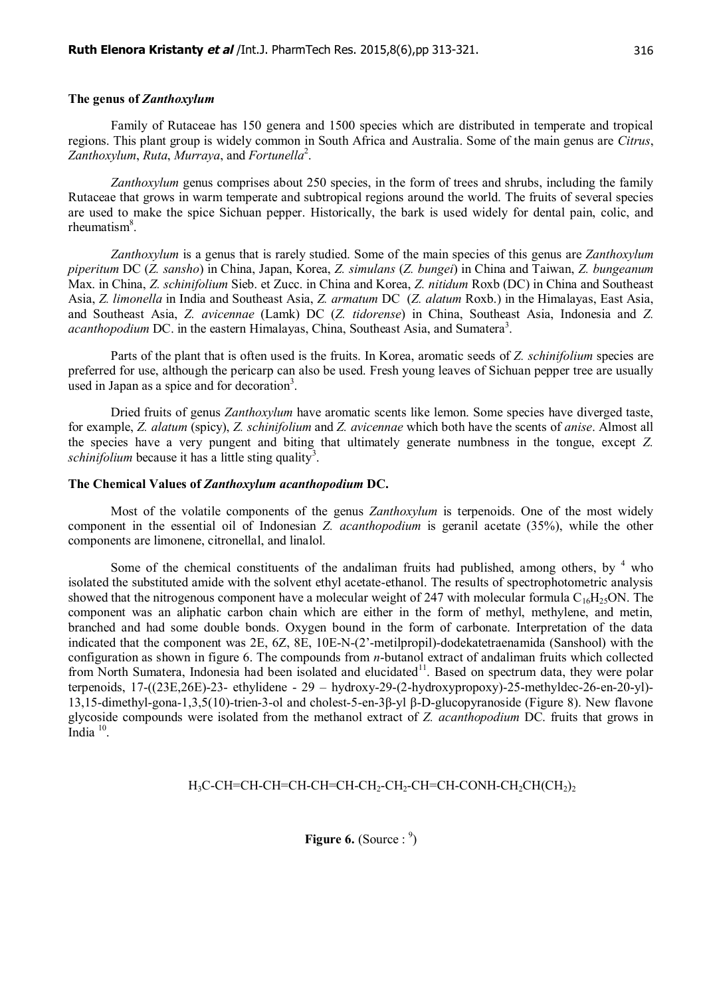### **The genus of** *Zanthoxylum*

Family of Rutaceae has 150 genera and 1500 species which are distributed in temperate and tropical regions. This plant group is widely common in South Africa and Australia. Some of the main genus are *Citrus*, *Zanthoxylum*, *Ruta*, *Murraya*, and *Fortunella*<sup>2</sup> .

*Zanthoxylum* genus comprises about 250 species, in the form of trees and shrubs, including the family Rutaceae that grows in warm temperate and subtropical regions around the world. The fruits of several species are used to make the spice Sichuan pepper. Historically, the bark is used widely for dental pain, colic, and rheumatism<sup>8</sup>.

*Zanthoxylum* is a genus that is rarely studied. Some of the main species of this genus are *Zanthoxylum piperitum* DC (*Z. sansho*) in China, Japan, Korea, *Z. simulans* (*Z. bungei*) in China and Taiwan, *Z. bungeanum* Max. in China, *Z. schinifolium* Sieb. et Zucc. in China and Korea, *Z. nitidum* Roxb (DC) in China and Southeast Asia, *Z. limonella* in India and Southeast Asia, *Z. armatum* DC (*Z. alatum* Roxb.) in the Himalayas, East Asia, and Southeast Asia, *Z. avicennae* (Lamk) DC (*Z. tidorense*) in China, Southeast Asia, Indonesia and *Z.* acanthopodium DC. in the eastern Himalayas, China, Southeast Asia, and Sumatera<sup>3</sup>.

Parts of the plant that is often used is the fruits. In Korea, aromatic seeds of *Z. schinifolium* species are preferred for use, although the pericarp can also be used. Fresh young leaves of Sichuan pepper tree are usually used in Japan as a spice and for decoration<sup>3</sup>.

Dried fruits of genus *Zanthoxylum* have aromatic scents like lemon. Some species have diverged taste, for example, *Z. alatum* (spicy), *Z. schinifolium* and *Z. avicennae* which both have the scents of *anise*. Almost all the species have a very pungent and biting that ultimately generate numbness in the tongue, except *Z.* schinifolium because it has a little sting quality<sup>3</sup>.

### **The Chemical Values of** *Zanthoxylum acanthopodium* **DC.**

Most of the volatile components of the genus *Zanthoxylum* is terpenoids. One of the most widely component in the essential oil of Indonesian *Z. acanthopodium* is geranil acetate (35%), while the other components are limonene, citronellal, and linalol.

Some of the chemical constituents of the andaliman fruits had published, among others, by  $4\text{ who}$ isolated the substituted amide with the solvent ethyl acetate-ethanol. The results of spectrophotometric analysis showed that the nitrogenous component have a molecular weight of 247 with molecular formula  $C_{16}H_{25}ON$ . The component was an aliphatic carbon chain which are either in the form of methyl, methylene, and metin, branched and had some double bonds. Oxygen bound in the form of carbonate. Interpretation of the data indicated that the component was 2E, 6Z, 8E, 10E-N-(2'-metilpropil)-dodekatetraenamida (Sanshool) with the configuration as shown in figure 6. The compounds from *n*-butanol extract of andaliman fruits which collected from North Sumatera, Indonesia had been isolated and elucidated<sup>11</sup>. Based on spectrum data, they were polar terpenoids, 17-((23E,26E)-23- ethylidene - 29 – hydroxy-29-(2-hydroxypropoxy)-25-methyldec-26-en-20-yl)- 13,15-dimethyl-gona-1,3,5(10)-trien-3-ol and cholest-5-en-3β-yl β-D-glucopyranoside (Figure 8). New flavone glycoside compounds were isolated from the methanol extract of *Z. acanthopodium* DC. fruits that grows in India $10$ .

## H<sub>3</sub>C-CH=CH-CH=CH-CH=CH-CH<sub>2</sub>-CH<sub>2</sub>-CH=CH-CONH-CH<sub>2</sub>CH(CH<sub>2</sub>)<sub>2</sub>

**Figure 6.** (Source:  $9$ )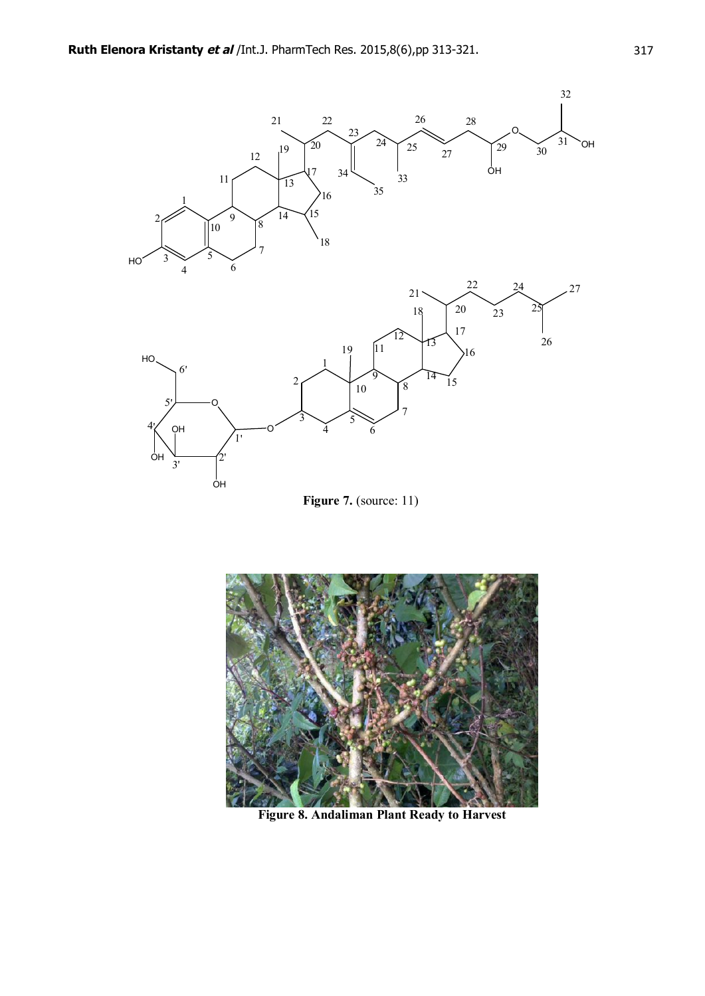

**Figure 7.** (source: 11)



**Figure 8. Andaliman Plant Ready to Harvest**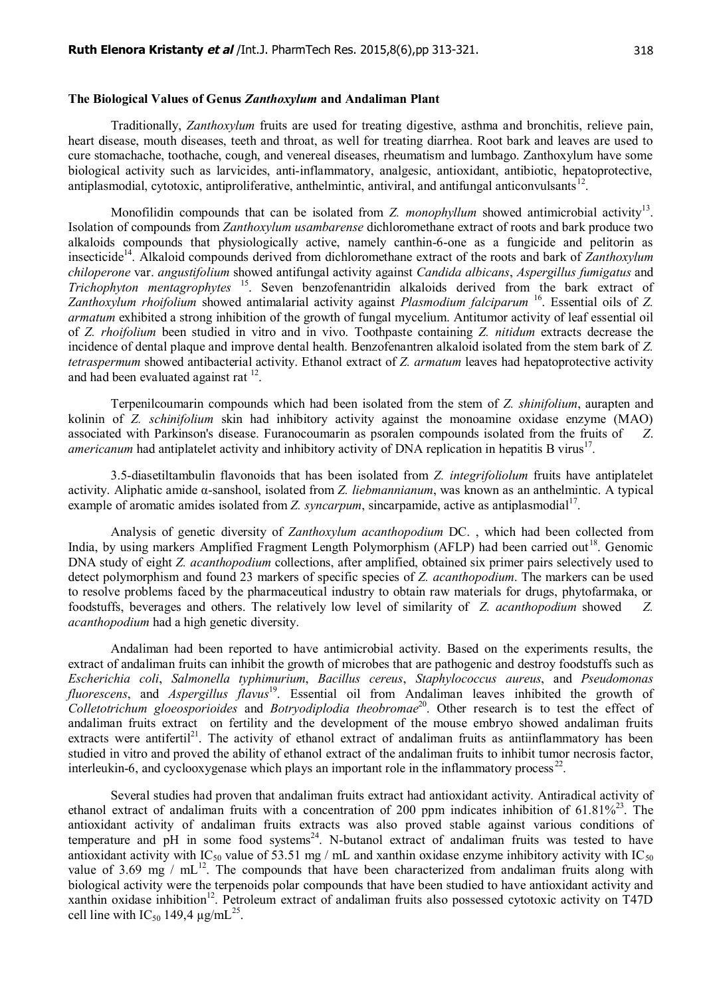#### **The Biological Values of Genus** *Zanthoxylum* **and Andaliman Plant**

Traditionally, *Zanthoxylum* fruits are used for treating digestive, asthma and bronchitis, relieve pain, heart disease, mouth diseases, teeth and throat, as well for treating diarrhea. Root bark and leaves are used to cure stomachache, toothache, cough, and venereal diseases, rheumatism and lumbago. Zanthoxylum have some biological activity such as larvicides, anti-inflammatory, analgesic, antioxidant, antibiotic, hepatoprotective, antiplasmodial, cytotoxic, antiproliferative, anthelmintic, antiviral, and antifungal anticonvulsants<sup>12</sup>.

Monofilidin compounds that can be isolated from *Z. monophyllum* showed antimicrobial activity<sup>13</sup>. Isolation of compounds from *Zanthoxylum usambarense* dichloromethane extract of roots and bark produce two alkaloids compounds that physiologically active, namely canthin-6-one as a fungicide and pelitorin as insecticide<sup>14</sup>. Alkaloid compounds derived from dichloromethane extract of the roots and bark of *Zanthoxylum chiloperone* var. *angustifolium* showed antifungal activity against *Candida albicans*, *Aspergillus fumigatus* and *Trichophyton mentagrophytes* <sup>15</sup>. Seven benzofenantridin alkaloids derived from the bark extract of *Zanthoxylum rhoifolium* showed antimalarial activity against *Plasmodium falciparum* <sup>16</sup>. Essential oils of *Z. armatum* exhibited a strong inhibition of the growth of fungal mycelium. Antitumor activity of leaf essential oil of *Z. rhoifolium* been studied in vitro and in vivo. Toothpaste containing *Z. nitidum* extracts decrease the incidence of dental plaque and improve dental health. Benzofenantren alkaloid isolated from the stem bark of *Z. tetraspermum* showed antibacterial activity. Ethanol extract of *Z. armatum* leaves had hepatoprotective activity and had been evaluated against rat  $12$ .

Terpenilcoumarin compounds which had been isolated from the stem of *Z. shinifolium*, aurapten and kolinin of *Z. schinifolium* skin had inhibitory activity against the monoamine oxidase enzyme (MAO) associated with Parkinson's disease. Furanocoumarin as psoralen compounds isolated from the fruits of *Z*. *americanum* had antiplatelet activity and inhibitory activity of DNA replication in hepatitis B virus<sup>17</sup>.

3.5-diasetiltambulin flavonoids that has been isolated from *Z. integrifoliolum* fruits have antiplatelet activity. Aliphatic amide α-sanshool, isolated from *Z. liebmannianum*, was known as an anthelmintic. A typical example of aromatic amides isolated from *Z. syncarpum*, sincarpamide, active as antiplasmodial<sup>17</sup>.

Analysis of genetic diversity of *Zanthoxylum acanthopodium* DC. , which had been collected from India, by using markers Amplified Fragment Length Polymorphism (AFLP) had been carried out<sup>18</sup>. Genomic DNA study of eight *Z. acanthopodium* collections, after amplified, obtained six primer pairs selectively used to detect polymorphism and found 23 markers of specific species of *Z. acanthopodium*. The markers can be used to resolve problems faced by the pharmaceutical industry to obtain raw materials for drugs, phytofarmaka, or foodstuffs, beverages and others. The relatively low level of similarity of *Z. acanthopodium* showed *Z. acanthopodium* had a high genetic diversity.

Andaliman had been reported to have antimicrobial activity. Based on the experiments results, the extract of andaliman fruits can inhibit the growth of microbes that are pathogenic and destroy foodstuffs such as *Escherichia coli*, *Salmonella typhimurium*, *Bacillus cereus*, *Staphylococcus aureus*, and *Pseudomonas fluorescens*, and *Aspergillus flavus*<sup>19</sup>. Essential oil from Andaliman leaves inhibited the growth of *Colletotrichum gloeosporioides* and *Botryodiplodia theobromae*<sup>20</sup>. Other research is to test the effect of andaliman fruits extract on fertility and the development of the mouse embryo showed andaliman fruits extracts were antifertil<sup>21</sup>. The activity of ethanol extract of andaliman fruits as antiinflammatory has been studied in vitro and proved the ability of ethanol extract of the andaliman fruits to inhibit tumor necrosis factor, interleukin-6, and cyclooxygenase which plays an important role in the inflammatory process<sup>22</sup>.

Several studies had proven that andaliman fruits extract had antioxidant activity. Antiradical activity of ethanol extract of andaliman fruits with a concentration of 200 ppm indicates inhibition of  $61.81\%^{23}$ . The antioxidant activity of andaliman fruits extracts was also proved stable against various conditions of temperature and  $pH$  in some food systems<sup>24</sup>. N-butanol extract of andaliman fruits was tested to have antioxidant activity with IC<sub>50</sub> value of 53.51 mg / mL and xanthin oxidase enzyme inhibitory activity with IC<sub>50</sub> value of 3.69 mg /  $mL^{12}$ . The compounds that have been characterized from andaliman fruits along with biological activity were the terpenoids polar compounds that have been studied to have antioxidant activity and xanthin oxidase inhibition<sup>12</sup>. Petroleum extract of andaliman fruits also possessed cytotoxic activity on T47D cell line with  $IC_{50}$  149,4  $\mu$ g/m $L^{25}$ .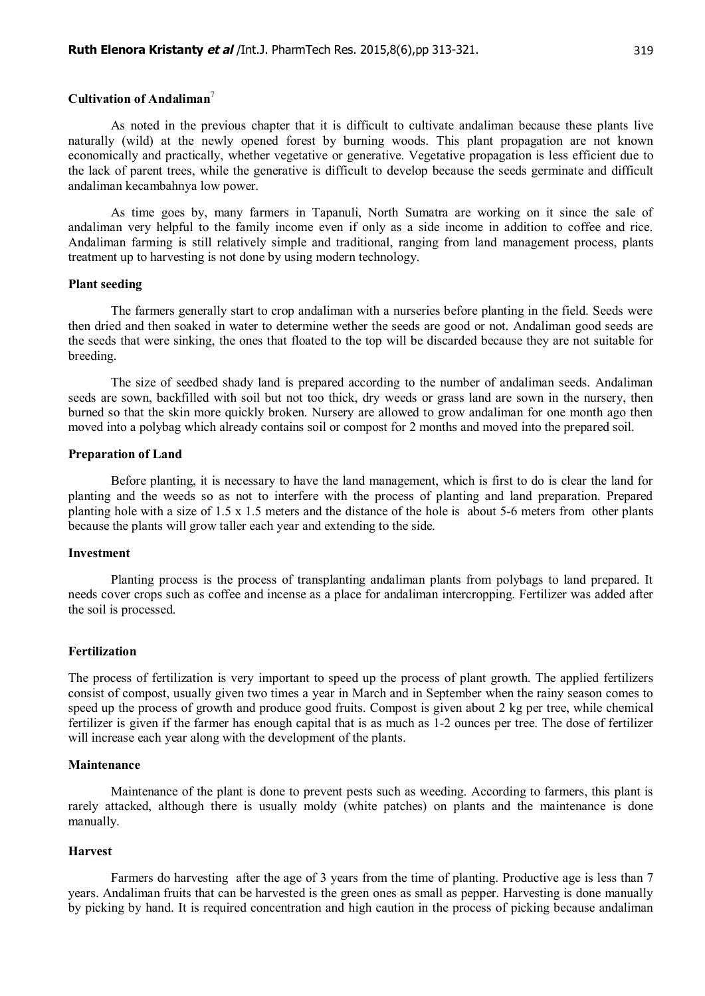### **Cultivation of Andaliman**<sup>7</sup>

As noted in the previous chapter that it is difficult to cultivate andaliman because these plants live naturally (wild) at the newly opened forest by burning woods. This plant propagation are not known economically and practically, whether vegetative or generative. Vegetative propagation is less efficient due to the lack of parent trees, while the generative is difficult to develop because the seeds germinate and difficult andaliman kecambahnya low power.

As time goes by, many farmers in Tapanuli, North Sumatra are working on it since the sale of andaliman very helpful to the family income even if only as a side income in addition to coffee and rice. Andaliman farming is still relatively simple and traditional, ranging from land management process, plants treatment up to harvesting is not done by using modern technology.

#### **Plant seeding**

The farmers generally start to crop andaliman with a nurseries before planting in the field. Seeds were then dried and then soaked in water to determine wether the seeds are good or not. Andaliman good seeds are the seeds that were sinking, the ones that floated to the top will be discarded because they are not suitable for breeding.

The size of seedbed shady land is prepared according to the number of andaliman seeds. Andaliman seeds are sown, backfilled with soil but not too thick, dry weeds or grass land are sown in the nursery, then burned so that the skin more quickly broken. Nursery are allowed to grow andaliman for one month ago then moved into a polybag which already contains soil or compost for 2 months and moved into the prepared soil.

#### **Preparation of Land**

Before planting, it is necessary to have the land management, which is first to do is clear the land for planting and the weeds so as not to interfere with the process of planting and land preparation. Prepared planting hole with a size of 1.5 x 1.5 meters and the distance of the hole is about 5-6 meters from other plants because the plants will grow taller each year and extending to the side.

#### **Investment**

Planting process is the process of transplanting andaliman plants from polybags to land prepared. It needs cover crops such as coffee and incense as a place for andaliman intercropping. Fertilizer was added after the soil is processed.

#### **Fertilization**

The process of fertilization is very important to speed up the process of plant growth. The applied fertilizers consist of compost, usually given two times a year in March and in September when the rainy season comes to speed up the process of growth and produce good fruits. Compost is given about 2 kg per tree, while chemical fertilizer is given if the farmer has enough capital that is as much as 1-2 ounces per tree. The dose of fertilizer will increase each year along with the development of the plants.

#### **Maintenance**

Maintenance of the plant is done to prevent pests such as weeding. According to farmers, this plant is rarely attacked, although there is usually moldy (white patches) on plants and the maintenance is done manually.

#### **Harvest**

Farmers do harvesting after the age of 3 years from the time of planting. Productive age is less than 7 years. Andaliman fruits that can be harvested is the green ones as small as pepper. Harvesting is done manually by picking by hand. It is required concentration and high caution in the process of picking because andaliman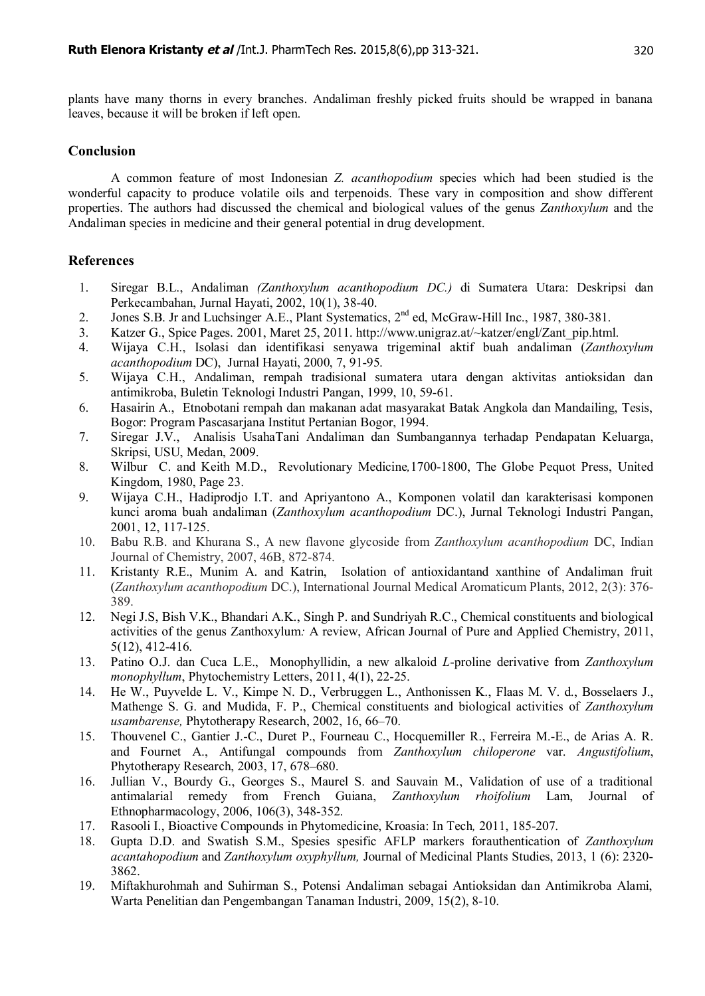plants have many thorns in every branches. Andaliman freshly picked fruits should be wrapped in banana leaves, because it will be broken if left open.

# **Conclusion**

A common feature of most Indonesian *Z. acanthopodium* species which had been studied is the wonderful capacity to produce volatile oils and terpenoids. These vary in composition and show different properties. The authors had discussed the chemical and biological values of the genus *Zanthoxylum* and the Andaliman species in medicine and their general potential in drug development.

## **References**

- 1. Siregar B.L., Andaliman *(Zanthoxylum acanthopodium DC.)* di Sumatera Utara: Deskripsi dan Perkecambahan, Jurnal Hayati, 2002, 10(1), 38-40.
- 2. Jones S.B. Jr and Luchsinger A.E., Plant Systematics, 2<sup>nd</sup> ed, McGraw-Hill Inc., 1987, 380-381.
- 3. Katzer G., Spice Pages. 2001, Maret 25, 2011. [http://www.unigraz.at/~katzer/engl/Zant\\_pip.html.](http://www.unigraz.at/~katzer/engl/Zant_pip.html.)
- 4. Wijaya C.H., Isolasi dan identifikasi senyawa trigeminal aktif buah andaliman (*Zanthoxylum acanthopodium* DC), Jurnal Hayati, 2000, 7, 91-95.
- 5. Wijaya C.H., Andaliman, rempah tradisional sumatera utara dengan aktivitas antioksidan dan antimikroba, Buletin Teknologi Industri Pangan, 1999, 10, 59-61.
- 6. Hasairin A., Etnobotani rempah dan makanan adat masyarakat Batak Angkola dan Mandailing, Tesis, Bogor: Program Pascasarjana Institut Pertanian Bogor, 1994.
- 7. Siregar J.V., Analisis UsahaTani Andaliman dan Sumbangannya terhadap Pendapatan Keluarga, Skripsi, USU, Medan, 2009.
- 8. Wilbur C. and Keith M.D., Revolutionary Medicine*,*1700-1800, The Globe Pequot Press, United Kingdom, 1980, Page 23.
- 9. Wijaya C.H., Hadiprodjo I.T. and Apriyantono A., Komponen volatil dan karakterisasi komponen kunci aroma buah andaliman (*Zanthoxylum acanthopodium* DC.), Jurnal Teknologi Industri Pangan, 2001, 12, 117-125.
- 10. Babu R.B. and Khurana S., A new flavone glycoside from *Zanthoxylum acanthopodium* DC, Indian Journal of Chemistry, 2007, 46B, 872-874.
- 11. Kristanty R.E., Munim A. and Katrin, Isolation of antioxidantand xanthine of Andaliman fruit (*Zanthoxylum acanthopodium* DC.), International Journal Medical Aromaticum Plants, 2012, 2(3): 376- 389.
- 12. Negi J.S, Bish V.K., Bhandari A.K., Singh P. and Sundriyah R.C., Chemical constituents and biological activities of the genus Zanthoxylum*:* A review, African Journal of Pure and Applied Chemistry, 2011, 5(12), 412-416.
- 13. Patino O.J. dan Cuca L.E., Monophyllidin, a new alkaloid *L*-proline derivative from *Zanthoxylum monophyllum*, [Phytochemistry Letters,](http://www.sciencedirect.com/science/journal/18743900) 2011, [4\(1\)](http://www.sciencedirect.com/science?_ob=PublicationURL&_hubEid=1-s2.0-S1874390011X00022&_cid=276923&_pubType=JL&view=c&_auth=y&_acct=C000228598&_version=1&_urlVersion=0&_userid=10&md5=6e9fe8c6c5b62d5d325281ad9f89b907), 22-25.
- 14. He W., Puyvelde L. V., Kimpe N. D., Verbruggen L., Anthonissen K., Flaas M. V. d., Bosselaers J., Mathenge S. G. and Mudida, F. P., Chemical constituents and biological activities of *Zanthoxylum usambarense,* Phytotherapy Research, 2002, 16, 66–70.
- 15. Thouvenel C., Gantier J.-C., Duret P., Fourneau C., Hocquemiller R., Ferreira M.-E., de Arias A. R. and Fournet A., Antifungal compounds from *Zanthoxylum chiloperone* var. *Angustifolium*, Phytotherapy Research, 2003, 17, 678–680.
- 16. Jullian V., Bourdy G., Georges S., Maurel S. and Sauvain M., Validation of use of a traditional antimalarial remedy from French Guiana, *Zanthoxylum rhoifolium* Lam, [Journal of](http://www.sciencedirect.com/science/journal/03788741) [Ethnopharmacology,](http://www.sciencedirect.com/science/journal/03788741) 2006, [106\(3\)](http://www.sciencedirect.com/science?_ob=PublicationURL&_hubEid=1-s2.0-S0378874106X02635&_cid=271283&_pubType=JL&view=c&_auth=y&_acct=C000228598&_version=1&_urlVersion=0&_userid=10&md5=20207c718540bbc318ef6fd572647704), 348-352.
- 17. Rasooli I., Bioactive Compounds in Phytomedicine, Kroasia: In Tech*,* 2011, 185-207.
- 18. Gupta D.D. and Swatish S.M., Spesies spesific AFLP markers forauthentication of *Zanthoxylum acantahopodium* and *Zanthoxylum oxyphyllum,* Journal of Medicinal Plants Studies, 2013, 1 (6): 2320- 3862.
- 19. Miftakhurohmah and Suhirman S., Potensi Andaliman sebagai Antioksidan dan Antimikroba Alami, Warta Penelitian dan Pengembangan Tanaman Industri, 2009, 15(2), 8-10.